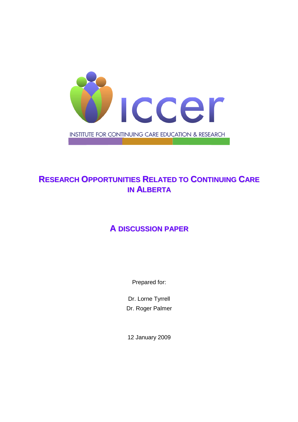

# **RESEARCH OPPORTUNITIES RELATED TO CONTINUING CARE IN ALBERTA**

# **A DISCUSSION PAPER**

Prepared for:

Dr. Lorne Tyrrell Dr. Roger Palmer

12 January 2009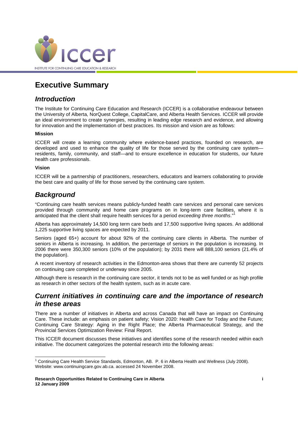

## **Executive Summary**

### **Introduction**

The Institute for Continuing Care Education and Research (ICCER) is a collaborative endeavour between the University of Alberta, NorQuest College, CapitalCare, and Alberta Health Services. ICCER will provide an ideal environment to create synergies, resulting in leading edge research and evidence, and allowing for innovation and the implementation of best practices. Its mission and vision are as follows:

#### **Mission**

ICCER will create a learning community where evidence-based practices, founded on research, are developed and used to enhance the quality of life for those served by the continuing care system residents, family, community, and staff—and to ensure excellence in education for students, our future health care professionals.

#### **Vision**

-

ICCER will be a partnership of practitioners, researchers, educators and learners collaborating to provide the best care and quality of life for those served by the continuing care system.

### **Background**

"Continuing care health services means publicly-funded health care services and personal care services provided through community and home care programs on in long-term care facilities, where it is anticipated that the client shall require health services for a period exceeding three months."<sup>1</sup>

Alberta has approximately 14,500 long term care beds and 17,500 supportive living spaces. An additional 1,225 supportive living spaces are expected by 2011.

Seniors (aged 65+) account for about 92% of the continuing care clients in Alberta. The number of seniors in Alberta is increasing. In addition, the percentage of seniors in the population is increasing. In 2006 there were 350,300 seniors (10% of the population); by 2031 there will 888,100 seniors (21.4% of the population).

A recent inventory of research activities in the Edmonton-area shows that there are currently 52 projects on continuing care completed or underway since 2005.

Although there is research in the continuing care sector, it tends not to be as well funded or as high profile as research in other sectors of the health system, such as in acute care.

### **Current initiatives in continuing care and the importance of research in these areas**

There are a number of initiatives in Alberta and across Canada that will have an impact on Continuing Care. These include: an emphasis on patient safety; Vision 2020: Health Care for Today and the Future; Continuing Care Strategy: Aging in the Right Place; the Alberta Pharmaceutical Strategy, and the Provincial Services Optimization Review: Final Report.

This ICCER document discusses these initiatives and identifies some of the research needed within each initiative. The document categorizes the potential research into the following areas:

<sup>&</sup>lt;sup>1</sup> Continuing Care Health Service Standards, Edmonton, AB. P. 6 in Alberta Health and Wellness (July 2008). Website: www.continuingcare.gov.ab.ca. accessed 24 November 2008.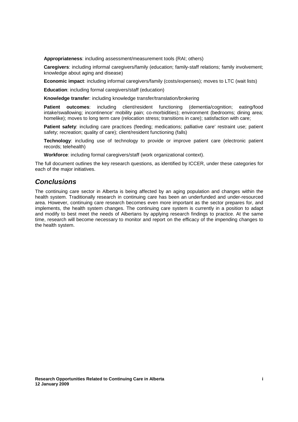**Appropriateness**: including assessment/measurement tools (RAI; others)

**Caregivers**: including informal caregivers/family (education; family-staff relations; family involvement; knowledge about aging and disease)

**Economic impact**: including informal caregivers/family (costs/expenses); moves to LTC (wait lists)

**Education**: including formal caregivers/staff (education)

**Knowledge transfer**: including knowledge transfer/translation/brokering

**Patient outcomes**: including client/resident functioning (dementia/cognition; eating/food intake/swallowing; incontinence' mobility pain; co-morbidities); environment (bedrooms; dining area; homelike); moves to long term care (relocation stress; transitions in care); satisfaction with care;

**Patient safety**: including care practices (feeding; medications; palliative care' restraint use; patient safety; recreation; quality of care); client/resident functioning (falls)

**Technology**: including use of technology to provide or improve patient care (electronic patient records; telehealth)

**Workforce**: including formal caregivers/staff (work organizational context).

The full document outlines the key research questions, as identified by ICCER, under these categories for each of the major initiatives.

### **Conclusions**

The continuing care sector in Alberta is being affected by an aging population and changes within the health system. Traditionally research in continuing care has been an underfunded and under-resourced area. However, continuing care research becomes even more important as the sector prepares for, and implements, the health system changes. The continuing care system is currently in a position to adapt and modify to best meet the needs of Albertans by applying research findings to practice. At the same time, research will become necessary to monitor and report on the efficacy of the impending changes to the health system.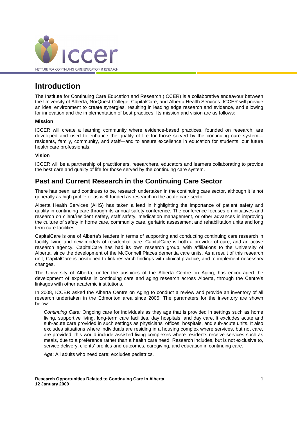

## **Introduction**

The Institute for Continuing Care Education and Research (ICCER) is a collaborative endeavour between the University of Alberta, NorQuest College, CapitalCare, and Alberta Health Services. ICCER will provide an ideal environment to create synergies, resulting in leading edge research and evidence, and allowing for innovation and the implementation of best practices. Its mission and vision are as follows:

#### **Mission**

ICCER will create a learning community where evidence-based practices, founded on research, are developed and used to enhance the quality of life for those served by the continuing care system residents, family, community, and staff—and to ensure excellence in education for students, our future health care professionals.

#### **Vision**

ICCER will be a partnership of practitioners, researchers, educators and learners collaborating to provide the best care and quality of life for those served by the continuing care system.

### **Past and Current Research in the Continuing Care Sector**

There has been, and continues to be, research undertaken in the continuing care sector, although it is not generally as high profile or as well-funded as research in the acute care sector.

Alberta Health Services (AHS) has taken a lead in highlighting the importance of patient safety and quality in continuing care through its annual safety conference. The conference focuses on initiatives and research on client/resident safety, staff safety, medication management, or other advances in improving the culture of safety in home care, community care, geriatric assessment and rehabilitation units and long term care facilities.

CapitalCare is one of Alberta's leaders in terms of supporting and conducting continuing care research in facility living and new models of residential care. CapitalCare is both a provider of care, and an active research agency. CapitalCare has had its own research group, with affiliations to the University of Alberta, since the development of the McConnell Places dementia care units. As a result of this research unit, CapitalCare is positioned to link research findings with clinical practice, and to implement necessary changes.

The University of Alberta, under the auspices of the Alberta Centre on Aging, has encouraged the development of expertise in continuing care and aging research across Alberta, through the Centre's linkages with other academic institutions.

In 2008, ICCER asked the Alberta Centre on Aging to conduct a review and provide an inventory of all research undertaken in the Edmonton area since 2005. The parameters for the inventory are shown below:

Continuing Care: Ongoing care for individuals as they age that is provided in settings such as home living, supportive living, long-term care facilities, day hospitals, and day care. It excludes acute and sub-acute care provided in such settings as physicians' offices, hospitals, and sub-acute units. It also excludes situations where individuals are residing in a housing complex where services, but not care, are provided; this would include assisted living complexes where residents receive services such as meals, due to a preference rather than a health care need. Research includes, but is not exclusive to, service delivery, clients' profiles and outcomes, caregiving, and education in continuing care.

Age: All adults who need care; excludes pediatrics.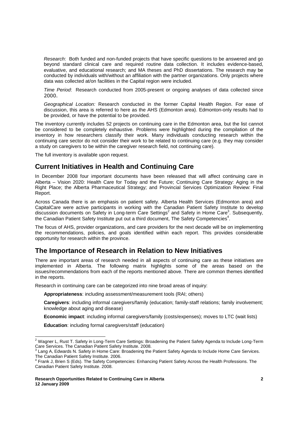Research: Both funded and non-funded projects that have specific questions to be answered and go beyond standard clinical care and required routine data collection. It includes evidence-based, evaluative, and educational research; and MA theses and PhD dissertations. The research may be conducted by individuals with/without an affiliation with the partner organizations. Only projects where data was collected at/on facilities in the Capital region were included.

Time Period: Research conducted from 2005-present or ongoing analyses of data collected since 2000.

Geographical Location: Research conducted in the former Capital Health Region. For ease of discussion, this area is referred to here as the AHS (Edmonton area). Edmonton-only results had to be provided, or have the potential to be provided.

The inventory currently includes 52 projects on continuing care in the Edmonton area, but the list cannot be considered to be completely exhaustive. Problems were highlighted during the compilation of the inventory in how researchers classify their work. Many individuals conducting research within the continuing care sector do not consider their work to be related to continuing care (e.g. they may consider a study on caregivers to be within the caregiver research field, not continuing care).

The full inventory is available upon request.

### **Current Initiatives in Health and Continuing Care**

In December 2008 four important documents have been released that will affect continuing care in Alberta – Vision 2020: Health Care for Today and the Future; Continuing Care Strategy: Aging in the Right Place; the Alberta Pharmaceutical Strategy; and Provincial Services Optimization Review: Final Report.

Across Canada there is an emphasis on patient safety. Alberta Health Services (Edmonton area) and CapitalCare were active participants in working with the Canadian Patient Safety Institute to develop discussion documents on Safety in Long-term Care Settings<sup>2</sup> and Safety in Home Care<sup>3</sup>. Subsequently, the Canadian Patient Safety Institute put out a third document, The Safety Competencies<sup>4</sup>.

The focus of AHS, provider organizations, and care providers for the next decade will be on implementing the recommendations, policies, and goals identified within each report. This provides considerable opportunity for research within the province.

### **The Importance of Research in Relation to New Initiatives**

There are important areas of research needed in all aspects of continuing care as these initiatives are implemented in Alberta. The following matrix highlights some of the areas based on the issues/recommendations from each of the reports mentioned above. There are common themes identified in the reports.

Research in continuing care can be categorized into nine broad areas of inquiry:

**Appropriateness**: including assessment/measurement tools (RAI; others)

**Caregivers**: including informal caregivers/family (education; family-staff relations; family involvement; knowledge about aging and disease)

**Economic impact**: including informal caregivers/family (costs/expenses); moves to LTC (wait lists)

**Education**: including formal caregivers/staff (education)

 2 Wagner L, Rust T. Safety in Long-Term Care Settings: Broadening the Patient Safety Agenda to Include Long-Term Care Services. The Canadian Patient Safety Institute. 2008.<br><sup>3</sup> Lang A, Edwards N. Safety in Home Care: Broadening the Patient Safety Agenda to Include Home Care Services.

The Canadian Patient Safety Institute. 2006.

<sup>&</sup>lt;sup>4</sup> Frank J, Brien S (Eds). The Safety Competencies: Enhancing Patient Safety Across the Health Professions. The Canadian Patient Safety Institute. 2008.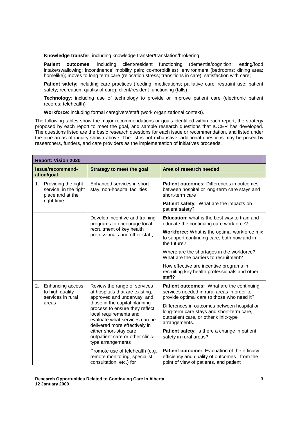**Knowledge transfer**: including knowledge transfer/translation/brokering

**Patient outcomes**: including client/resident functioning (dementia/cognition; eating/food intake/swallowing; incontinence' mobility pain; co-morbidities); environment (bedrooms; dining area; homelike); moves to long term care (relocation stress; transitions in care); satisfaction with care;

Patient safety: including care practices (feeding; medications; palliative care' restraint use; patient safety; recreation; quality of care); client/resident functioning (falls)

**Technology**: including use of technology to provide or improve patient care (electronic patient records; telehealth)

**Workforce**: including formal caregivers/staff (work organizational context).

The following tables show the major recommendations or goals identified within each report, the strategy proposed by each report to meet the goal, and sample research questions that ICCER has developed. The questions listed are the basic research questions for each issue or recommendation, and listed under the nine areas of inquiry shown above. The list is not exhaustive; additional questions may be posed by researchers, funders, and care providers as the implementation of initiatives proceeds.

| <b>Report: Vision 2020</b>                                             |                                                                                                                                                                                                                                                                       |                                                                                                                                                    |  |
|------------------------------------------------------------------------|-----------------------------------------------------------------------------------------------------------------------------------------------------------------------------------------------------------------------------------------------------------------------|----------------------------------------------------------------------------------------------------------------------------------------------------|--|
| Issue/recommend-<br>ation/goal                                         | Strategy to meet the goal                                                                                                                                                                                                                                             | Area of research needed                                                                                                                            |  |
| 1.<br>Providing the right<br>service, in the right<br>place and at the | Enhanced services in short-<br>stay, non-hospital facilities                                                                                                                                                                                                          | <b>Patient outcomes:</b> Differences in outcomes<br>between hospital or long-term care stays and<br>short-term care                                |  |
| right time                                                             |                                                                                                                                                                                                                                                                       | Patient safety: What are the impacts on<br>patient safety?                                                                                         |  |
|                                                                        | Develop incentive and training<br>programs to encourage local                                                                                                                                                                                                         | Education: what is the best way to train and<br>educate the continuing care workforce?                                                             |  |
|                                                                        | recruitment of key health<br>professionals and other staff;                                                                                                                                                                                                           | Workforce: What is the optimal workforce mix<br>to support continuing care, both now and in<br>the future?                                         |  |
|                                                                        |                                                                                                                                                                                                                                                                       | Where are the shortages in the workforce?<br>What are the barriers to recruitment?                                                                 |  |
|                                                                        |                                                                                                                                                                                                                                                                       | How effective are incentive programs in<br>recruiting key health professionals and other<br>staff?                                                 |  |
| Enhancing access<br>2.<br>to high quality<br>services in rural         | Review the range of services<br>at hospitals that are existing,<br>approved and underway, and<br>those in the capital planning<br>areas<br>process to ensure they reflect<br>local requirements and<br>evaluate what services can be<br>delivered more effectively in | Patient outcomes: What are the continuing<br>services needed in rural areas in order to<br>provide optimal care to those who need it?              |  |
|                                                                        |                                                                                                                                                                                                                                                                       | Differences in outcomes between hospital or<br>long-term care stays and short-term care,<br>outpatient care, or other clinic-type<br>arrangements. |  |
|                                                                        | either short-stay care,<br>outpatient care or other clinic-<br>type arrangements                                                                                                                                                                                      | Patient safety: Is there a change in patient<br>safety in rural areas?                                                                             |  |
|                                                                        | Promote use of telehealth (e.g.<br>remote monitoring, specialist<br>consultation, etc.) for                                                                                                                                                                           | Patient outcome: Evaluation of the efficacy,<br>efficiency and quality of outcomes from the<br>point of view of patients, and patient              |  |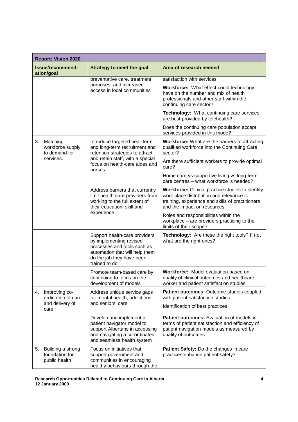| <b>Report: Vision 2020</b>                                 |                                                                                                                                                                         |                                                                                                                                                                                  |  |
|------------------------------------------------------------|-------------------------------------------------------------------------------------------------------------------------------------------------------------------------|----------------------------------------------------------------------------------------------------------------------------------------------------------------------------------|--|
| Issue/recommend-<br>ation/goal                             | <b>Strategy to meet the goal</b>                                                                                                                                        | Area of research needed                                                                                                                                                          |  |
|                                                            | preventative care, treatment                                                                                                                                            | satisfaction with services                                                                                                                                                       |  |
|                                                            | purposes, and increased<br>access in local communities                                                                                                                  | Workforce: What effect could technology<br>have on the number and mix of health<br>professionals and other staff within the<br>continuing care sector?                           |  |
|                                                            |                                                                                                                                                                         | Technology: What continuing care services<br>are best provided by telehealth?                                                                                                    |  |
|                                                            |                                                                                                                                                                         | Does the continuing care population accept<br>services provided in this mode?                                                                                                    |  |
| Matching<br>3.<br>workforce supply<br>to demand for        | Introduce targeted near-term<br>and long-term recruitment and<br>retention strategies to attract                                                                        | <b>Workforce:</b> What are the barriers to attracting<br>qualified workforce into the Continuing Care<br>sector?                                                                 |  |
| services.                                                  | and retain staff, with a special<br>focus on health-care aides and<br>nurses                                                                                            | Are there sufficient workers to provide optimal<br>care?                                                                                                                         |  |
|                                                            |                                                                                                                                                                         | Home care vs supportive living vs long-term<br>care centres - what workforce is needed?                                                                                          |  |
|                                                            | Address barriers that currently<br>limit health-care providers from<br>working to the full extent of<br>their education, skill and                                      | Workforce: Clinical practice studies to identify<br>work place distribution and relevance to<br>training, experience and skills of practitioners<br>and the impact on resources. |  |
|                                                            | experience                                                                                                                                                              | Roles and responsibilities within the<br>workplace - are providers practicing to the<br>limits of their scope?                                                                   |  |
|                                                            | Support health-care providers<br>by implementing revised<br>processes and tools such as<br>automation that will help them<br>do the job they have been<br>trained to do | Technology: Are these the right tools? If not<br>what are the right ones?                                                                                                        |  |
|                                                            | Promote team-based care by<br>continuing to focus on the<br>development of models                                                                                       | Workforce: Model evaluation based on<br>quality of clinical outcomes and healthcare<br>worker and patient satisfaction studies                                                   |  |
| Improving co-<br>4.<br>ordination of care                  | Address unique service gaps<br>for mental health, addictions                                                                                                            | Patient outcomes: Outcome studies coupled<br>with patient satisfaction studies.                                                                                                  |  |
| and delivery of<br>care                                    | and seniors' care                                                                                                                                                       | Identification of best practices.                                                                                                                                                |  |
|                                                            | Develop and implement a<br>patient navigator model to<br>support Albertans in accessing<br>and navigating a co-ordinated<br>and seamless health system                  | <b>Patient outcomes:</b> Evaluation of models in<br>terms of patient satisfaction and efficiency of<br>patient navigation models as measured by<br>quality of outcomes           |  |
| Building a strong<br>5.<br>foundation for<br>public health | Focus on initiatives that<br>support government and<br>communities in encouraging<br>healthy behaviours through the                                                     | Patient Safety: Do the changes in care<br>practices enhance patient safety?                                                                                                      |  |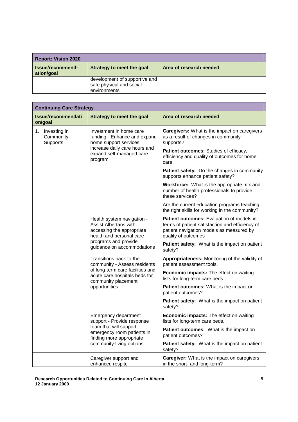| <b>Report: Vision 2020</b>     |                                                                           |                         |
|--------------------------------|---------------------------------------------------------------------------|-------------------------|
| Issue/recommend-<br>ation/goal | Strategy to meet the goal                                                 | Area of research needed |
|                                | development of supportive and<br>safe physical and social<br>environments |                         |

| <b>Continuing Care Strategy</b>                                                  |                                                                                                                     |                                                                                                                                                                 |  |
|----------------------------------------------------------------------------------|---------------------------------------------------------------------------------------------------------------------|-----------------------------------------------------------------------------------------------------------------------------------------------------------------|--|
| Issue/recommendati<br>on/goal                                                    | Strategy to meet the goal                                                                                           | Area of research needed                                                                                                                                         |  |
| 1. Investing in<br>Community<br>Supports                                         | Investment in home care<br>funding - Enhance and expand<br>home support services,                                   | <b>Caregivers:</b> What is the impact on caregivers<br>as a result of changes in community<br>supports?                                                         |  |
|                                                                                  | increase daily care hours and<br>expand self-managed care<br>program.                                               | Patient outcomes: Studies of efficacy,<br>efficiency and quality of outcomes for home<br>care                                                                   |  |
|                                                                                  |                                                                                                                     | Patient safety: Do the changes in community<br>supports enhance patient safety?                                                                                 |  |
|                                                                                  |                                                                                                                     | <b>Workforce:</b> What is the appropriate mix and<br>number of health professionals to provide<br>these services?                                               |  |
|                                                                                  |                                                                                                                     | Are the current education programs teaching<br>the right skills for working in the community?                                                                   |  |
|                                                                                  | Health system navigation -<br><b>Assist Albertans with</b><br>accessing the appropriate<br>health and personal care | Patient outcomes: Evaluation of models in<br>terms of patient satisfaction and efficiency of<br>patient navigation models as measured by<br>quality of outcomes |  |
|                                                                                  | programs and provide<br>guidance on accommodations                                                                  | Patient safety: What is the impact on patient<br>safety?                                                                                                        |  |
| Transitions back to the<br>community - Assess residents                          | Appropriateness: Monitoring of the validity of<br>patient assessment tools.                                         |                                                                                                                                                                 |  |
|                                                                                  | of long-term care facilities and<br>acute care hospitals beds for<br>community placement                            | <b>Economic impacts:</b> The effect on waiting<br>lists for long-term care beds.                                                                                |  |
|                                                                                  | opportunities                                                                                                       | Patient outcomes: What is the impact on<br>patient outcomes?                                                                                                    |  |
|                                                                                  |                                                                                                                     | Patient safety: What is the impact on patient<br>safety?                                                                                                        |  |
|                                                                                  | Emergency department<br>support - Provide response                                                                  | Economic impacts: The effect on waiting<br>lists for long-term care beds.                                                                                       |  |
| team that will support<br>emergency room patients in<br>finding more appropriate | <b>Patient outcomes:</b> What is the impact on<br>patient outcomes?                                                 |                                                                                                                                                                 |  |
|                                                                                  | community-living options                                                                                            | Patient safety: What is the impact on patient<br>safety?                                                                                                        |  |
|                                                                                  | Caregiver support and<br>enhanced respite                                                                           | <b>Caregiver:</b> What is the impact on caregivers<br>in the short- and long-term?                                                                              |  |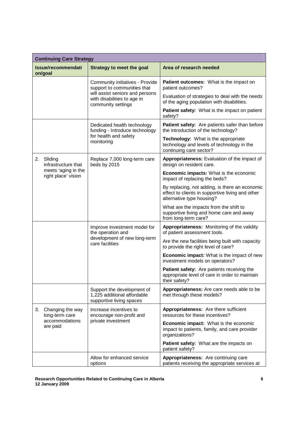|    | <b>Continuing Care Strategy</b>                                                                      |                                                                                       |                                                                                                                                 |  |
|----|------------------------------------------------------------------------------------------------------|---------------------------------------------------------------------------------------|---------------------------------------------------------------------------------------------------------------------------------|--|
|    | <b>Issue/recommendati</b><br>on/goal                                                                 | <b>Strategy to meet the goal</b>                                                      | Area of research needed                                                                                                         |  |
|    |                                                                                                      | Community initiatives - Provide<br>support to communities that                        | Patient outcomes: What is the impact on<br>patient outcomes?                                                                    |  |
|    |                                                                                                      | will assist seniors and persons<br>with disabilities to age in<br>community settings  | Evaluation of strategies to deal with the needs<br>of the aging population with disabilities.                                   |  |
|    |                                                                                                      |                                                                                       | Patient safety: What is the impact on patient<br>safety?                                                                        |  |
|    |                                                                                                      | Dedicated health technology<br>funding - Introduce technology                         | Patient safety: Are patients safer than before<br>the introduction of the technology?                                           |  |
|    |                                                                                                      | for health and safety<br>monitoring                                                   | Technology: What is the appropriate<br>technology and levels of technology in the<br>continuing care sector?                    |  |
| 2. | Sliding<br>infrastructure that                                                                       | Replace 7,000 long-term care<br>beds by 2015                                          | Appropriateness: Evaluation of the impact of<br>design on resident care.                                                        |  |
|    | meets 'aging in the<br>right place' vision                                                           |                                                                                       | Economic impacts: What is the economic<br>impact of replacing the beds?                                                         |  |
|    |                                                                                                      |                                                                                       | By replacing, not adding, is there an economic<br>effect to clients in supportive living and other<br>alternative type housing? |  |
|    |                                                                                                      |                                                                                       | What are the impacts from the shift to<br>supportive living and home care and away<br>from long-term care?                      |  |
|    | Improve investment model for<br>the operation and<br>development of new long-term<br>care facilities | Appropriateness: Monitoring of the validity<br>of patient assessment tools.           |                                                                                                                                 |  |
|    |                                                                                                      |                                                                                       | Are the new facilities being built with capacity<br>to provide the right level of care?                                         |  |
|    |                                                                                                      |                                                                                       | <b>Economic impact:</b> What is the impact of new<br>investment models on operators?                                            |  |
|    |                                                                                                      |                                                                                       | Patient safety: Are patients receiving the<br>appropriate level of care in order to maintain<br>their safety?                   |  |
|    |                                                                                                      | Support the development of<br>1,225 additional affordable<br>supportive living spaces | Appropriateness: Are care needs able to be<br>met through these models?                                                         |  |
| 3. | Changing the way<br>long-term care<br>accommodations<br>are paid                                     | Increase incentives to<br>encourage non-profit and<br>private investment              | Appropriateness: Are there sufficient<br>resources for these incentives?                                                        |  |
|    |                                                                                                      |                                                                                       | <b>Economic impact:</b> What is the economic<br>impact to patients, family, and care provider<br>organizations?                 |  |
|    |                                                                                                      |                                                                                       | Patient safety: What are the impacts on<br>patient safety?                                                                      |  |
|    |                                                                                                      | Allow for enhanced service<br>options                                                 | Appropriateness: Are continuing care<br>patients receiving the appropriate services at                                          |  |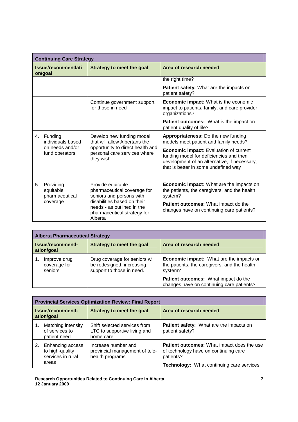|    | <b>Continuing Care Strategy</b>                                                                                                                                                                                                             |                                                                                   |                                                                                                                                                                           |  |
|----|---------------------------------------------------------------------------------------------------------------------------------------------------------------------------------------------------------------------------------------------|-----------------------------------------------------------------------------------|---------------------------------------------------------------------------------------------------------------------------------------------------------------------------|--|
|    | Issue/recommendati<br>on/goal                                                                                                                                                                                                               | <b>Strategy to meet the goal</b>                                                  | Area of research needed                                                                                                                                                   |  |
|    |                                                                                                                                                                                                                                             |                                                                                   | the right time?                                                                                                                                                           |  |
|    |                                                                                                                                                                                                                                             |                                                                                   | Patient safety: What are the impacts on<br>patient safety?                                                                                                                |  |
|    |                                                                                                                                                                                                                                             | Continue government support<br>for those in need                                  | <b>Economic impact:</b> What is the economic<br>impact to patients, family, and care provider<br>organizations?                                                           |  |
|    |                                                                                                                                                                                                                                             |                                                                                   | Patient outcomes: What is the impact on<br>patient quality of life?                                                                                                       |  |
|    | 4. Funding<br>individuals based                                                                                                                                                                                                             | Develop new funding model<br>that will allow Albertans the                        | Appropriateness: Do the new funding<br>models meet patient and family needs?                                                                                              |  |
|    | on needs and/or<br>fund operators                                                                                                                                                                                                           | opportunity to direct health and<br>personal care services where<br>they wish     | Economic impact: Evaluation of current<br>funding model for deficiencies and then<br>development of an alternative, if necessary,<br>that is better in some undefined way |  |
| 5. | Providing<br>Provide equitable<br>pharmaceutical coverage for<br>equitable<br>seniors and persons with<br>pharmaceutical<br>disabilities based on their<br>coverage<br>needs - as outlined in the<br>pharmaceutical strategy for<br>Alberta |                                                                                   | <b>Economic impact:</b> What are the impacts on<br>the patients, the caregivers, and the health<br>system?                                                                |  |
|    |                                                                                                                                                                                                                                             | Patient outcomes: What impact do the<br>changes have on continuing care patients? |                                                                                                                                                                           |  |

| <b>Alberta Pharmaceutical Strategy</b>  |                                                                                          |                                                                                                            |  |
|-----------------------------------------|------------------------------------------------------------------------------------------|------------------------------------------------------------------------------------------------------------|--|
| Issue/recommend-<br>ation/goal          | Strategy to meet the goal                                                                | Area of research needed                                                                                    |  |
| Improve drug<br>coverage for<br>seniors | Drug coverage for seniors will<br>be redesigned, increasing<br>support to those in need. | <b>Economic impact:</b> What are the impacts on<br>the patients, the caregivers, and the health<br>system? |  |
|                                         |                                                                                          | Patient outcomes: What impact do the<br>changes have on continuing care patients?                          |  |

|    | <b>Provincial Services Optimization Review: Final Report</b>      |                                                                           |                                                                                                  |  |
|----|-------------------------------------------------------------------|---------------------------------------------------------------------------|--------------------------------------------------------------------------------------------------|--|
|    | Issue/recommend-<br>ation/goal                                    | Strategy to meet the goal                                                 | Area of research needed                                                                          |  |
| 1. | Matching intensity<br>of services to<br>patient need              | Shift selected services from<br>LTC to supportive living and<br>home care | Patient safety: What are the impacts on<br>patient safety?                                       |  |
| 2. | Enhancing access<br>to high-quality<br>services in rural<br>areas | Increase number and<br>provincial management of tele-<br>health programs  | Patient outcomes: What impact does the use<br>of technology have on continuing care<br>patients? |  |
|    |                                                                   |                                                                           | <b>Technology:</b> What continuing care services                                                 |  |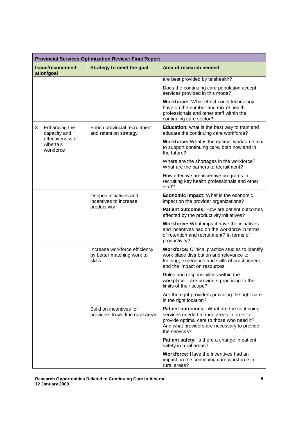| <b>Provincial Services Optimization Review: Final Report</b> |                                                                       |                                                                                                                                                                                                       |  |
|--------------------------------------------------------------|-----------------------------------------------------------------------|-------------------------------------------------------------------------------------------------------------------------------------------------------------------------------------------------------|--|
| Issue/recommend-<br>ation/goal                               | <b>Strategy to meet the goal</b>                                      | Area of research needed                                                                                                                                                                               |  |
|                                                              |                                                                       | are best provided by telehealth?                                                                                                                                                                      |  |
|                                                              |                                                                       | Does the continuing care population accept<br>services provided in this mode?                                                                                                                         |  |
|                                                              |                                                                       | Workforce: What effect could technology<br>have on the number and mix of health<br>professionals and other staff within the<br>continuing care sector?                                                |  |
| Enhancing the<br>3.<br>capacity and                          | Enrich provincial recruitment<br>and retention strategy               | Education: what is the best way to train and<br>educate the continuing care workforce?                                                                                                                |  |
| effectiveness of<br>Alberta's<br>workforce                   |                                                                       | <b>Workforce:</b> What is the optimal workforce mix<br>to support continuing care, both now and in<br>the future?                                                                                     |  |
|                                                              |                                                                       | Where are the shortages in the workforce?<br>What are the barriers to recruitment?                                                                                                                    |  |
|                                                              |                                                                       | How effective are incentive programs in<br>recruiting key health professionals and other<br>staff?                                                                                                    |  |
|                                                              | Deepen initiatives and<br>incentives to increase<br>productivity      | Economic impact: What is the economic<br>impact on the provider organizations?                                                                                                                        |  |
|                                                              |                                                                       | Patient outcomes: How are patient outcomes<br>affected by the productivity initiatives?                                                                                                               |  |
|                                                              |                                                                       | <b>Workforce:</b> What impact have the initiatives<br>and incentives had on the workforce in terms<br>of retention and recruitment? In terms of<br>productivity?                                      |  |
|                                                              | Increase workforce efficiency<br>by better matching work to<br>skills | <b>Workforce:</b> Clinical practice studies to identify<br>work place distribution and relevance to<br>training, experience and skills of practitioners<br>and the impact on resources.               |  |
|                                                              |                                                                       | Roles and responsibilities within the<br>workplace - are providers practicing to the<br>limits of their scope?                                                                                        |  |
|                                                              |                                                                       | Are the right providers providing the right care<br>in the right location?                                                                                                                            |  |
|                                                              | Build on incentives for<br>providers to work in rural areas           | Patient outcomes: What are the continuing<br>services needed in rural areas in order to<br>provide optimal care to those who need it?<br>And what providers are necessary to provide<br>the services? |  |
|                                                              |                                                                       | Patient safety: Is there a change in patient<br>safety in rural areas?                                                                                                                                |  |
|                                                              |                                                                       | Workforce: Have the incentives had an<br>impact on the continuing care workforce in<br>rural areas?                                                                                                   |  |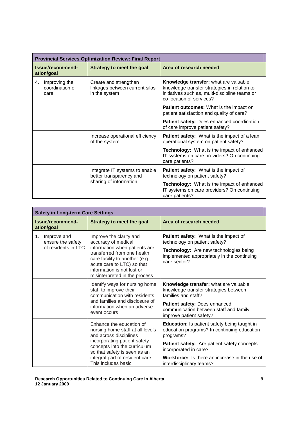| <b>Provincial Services Optimization Review: Final Report</b> |                                                                          |                                                                                                                                                                     |  |
|--------------------------------------------------------------|--------------------------------------------------------------------------|---------------------------------------------------------------------------------------------------------------------------------------------------------------------|--|
| Issue/recommend-<br>ation/goal                               | <b>Strategy to meet the goal</b>                                         | Area of research needed                                                                                                                                             |  |
| Improving the<br>4.<br>coordination of<br>care               | Create and strengthen<br>linkages between current silos<br>in the system | Knowledge transfer: what are valuable<br>knowledge transfer strategies in relation to<br>initiatives such as, multi-discipline teams or<br>co-location of services? |  |
|                                                              |                                                                          | <b>Patient outcomes:</b> What is the impact on<br>patient satisfaction and quality of care?                                                                         |  |
|                                                              |                                                                          | Patient safety: Does enhanced coordination<br>of care improve patient safety?                                                                                       |  |
|                                                              | Increase operational efficiency<br>of the system                         | Patient safety: What is the impact of a lean<br>operational system on patient safety?                                                                               |  |
|                                                              |                                                                          | Technology: What is the impact of enhanced<br>IT systems on care providers? On continuing<br>care patients?                                                         |  |
|                                                              | Integrate IT systems to enable<br>better transparency and                | <b>Patient safety:</b> What is the impact of<br>technology on patient safety?                                                                                       |  |
|                                                              | sharing of information                                                   | Technology: What is the impact of enhanced<br>IT systems on care providers? On continuing<br>care patients?                                                         |  |

| <b>Safety in Long-term Care Settings</b>                      |                                                                                                                                                                                                                                                |                                                                                                                                                                                 |  |
|---------------------------------------------------------------|------------------------------------------------------------------------------------------------------------------------------------------------------------------------------------------------------------------------------------------------|---------------------------------------------------------------------------------------------------------------------------------------------------------------------------------|--|
| Issue/recommend-<br>ation/goal                                | <b>Strategy to meet the goal</b>                                                                                                                                                                                                               | Area of research needed                                                                                                                                                         |  |
| 1.<br>Improve and<br>ensure the safety<br>of residents in LTC | Improve the clarity and<br>accuracy of medical<br>information when patients are<br>transferred from one health<br>care facility to another (e.g.,<br>acute care to LTC) so that<br>information is not lost or<br>misinterpreted in the process | Patient safety: What is the impact of<br>technology on patient safety?<br>Technology: Are new technologies being<br>implemented appropriately in the continuing<br>care sector? |  |
|                                                               | Identify ways for nursing home<br>staff to improve their<br>communication with residents<br>and families and disclosure of                                                                                                                     | Knowledge transfer: what are valuable<br>knowledge transfer strategies between<br>families and staff?                                                                           |  |
|                                                               | information when an adverse<br>event occurs                                                                                                                                                                                                    | Patient safety: Does enhanced<br>communication between staff and family<br>improve patient safety?                                                                              |  |
|                                                               | Enhance the education of<br>nursing home staff at all levels<br>and across disciplines                                                                                                                                                         | <b>Education:</b> Is patient safety being taught in<br>education programs? In continuing education<br>programs?                                                                 |  |
|                                                               | incorporating patient safety<br>concepts into the curriculum<br>so that safety is seen as an                                                                                                                                                   | Patient safety: Are patient safety concepts<br>incorporated in care?                                                                                                            |  |
|                                                               | integral part of resident care.<br>This includes basic                                                                                                                                                                                         | <b>Workforce:</b> Is there an increase in the use of<br>interdisciplinary teams?                                                                                                |  |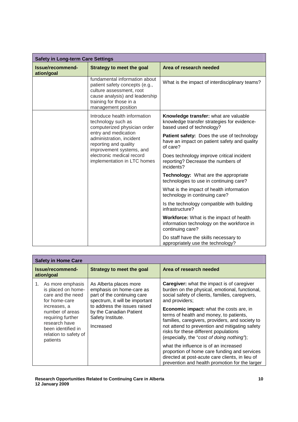| <b>Safety in Long-term Care Settings</b> |                                                                                                                                                                                                                                                         |                                                                                                                   |
|------------------------------------------|---------------------------------------------------------------------------------------------------------------------------------------------------------------------------------------------------------------------------------------------------------|-------------------------------------------------------------------------------------------------------------------|
| Issue/recommend-<br>ation/goal           | <b>Strategy to meet the goal</b>                                                                                                                                                                                                                        | Area of research needed                                                                                           |
|                                          | fundamental information about<br>patient safety concepts (e.g.,<br>culture assessment, root<br>cause analysis) and leadership<br>training for those in a<br>management position                                                                         | What is the impact of interdisciplinary teams?                                                                    |
|                                          | Introduce health information<br>technology such as<br>computerized physician order<br>entry and medication<br>administration, incident<br>reporting and quality<br>improvement systems, and<br>electronic medical record<br>implementation in LTC homes | Knowledge transfer: what are valuable<br>knowledge transfer strategies for evidence-<br>based used of technology? |
|                                          |                                                                                                                                                                                                                                                         | Patient safety: Does the use of technology<br>have an impact on patient safety and quality<br>of care?            |
|                                          |                                                                                                                                                                                                                                                         | Does technology improve critical incident<br>reporting? Decrease the numbers of<br>incidents?                     |
|                                          |                                                                                                                                                                                                                                                         | Technology: What are the appropriate<br>technologies to use in continuing care?                                   |
|                                          |                                                                                                                                                                                                                                                         | What is the impact of health information<br>technology in continuing care?                                        |
|                                          |                                                                                                                                                                                                                                                         | Is the technology compatible with building<br>infrastructure?                                                     |
|                                          |                                                                                                                                                                                                                                                         | <b>Workforce:</b> What is the impact of health<br>information technology on the workforce in<br>continuing care?  |
|                                          |                                                                                                                                                                                                                                                         | Do staff have the skills necessary to<br>appropriately use the technology?                                        |

| <b>Safety in Home Care</b>                                                                                                                                                                                          |                                                                                                                                                                                                                  |                                                                                                                                                                                                                                                                                                                                                                                                                                                                                                                                                                                                                                                                 |  |  |  |  |  |
|---------------------------------------------------------------------------------------------------------------------------------------------------------------------------------------------------------------------|------------------------------------------------------------------------------------------------------------------------------------------------------------------------------------------------------------------|-----------------------------------------------------------------------------------------------------------------------------------------------------------------------------------------------------------------------------------------------------------------------------------------------------------------------------------------------------------------------------------------------------------------------------------------------------------------------------------------------------------------------------------------------------------------------------------------------------------------------------------------------------------------|--|--|--|--|--|
| Issue/recommend-<br>ation/goal                                                                                                                                                                                      | Strategy to meet the goal                                                                                                                                                                                        | Area of research needed                                                                                                                                                                                                                                                                                                                                                                                                                                                                                                                                                                                                                                         |  |  |  |  |  |
| 1. As more emphasis<br>is placed on home-<br>care and the need<br>for home-care<br>increases, a<br>number of areas<br>requiring further<br>research have<br>been identified in<br>relation to safety of<br>patients | As Alberta places more<br>emphasis on home-care as<br>part of the continuing care<br>spectrum, it will be important<br>to address the issues raised<br>by the Canadian Patient<br>Safety Institute.<br>Increased | <b>Caregiver:</b> what the impact is of caregiver<br>burden on the physical, emotional, functional,<br>social safety of clients, families, caregivers,<br>and providers;<br><b>Economic impact:</b> what the costs are, in<br>terms of health and money, to patients,<br>families, caregivers, providers, and society to<br>not attend to prevention and mitigating safety<br>risks for these different populations<br>(especially, the "cost of doing nothing");<br>what the influence is of an increased<br>proportion of home care funding and services<br>directed at post-acute care clients, in lieu of<br>prevention and health promotion for the larger |  |  |  |  |  |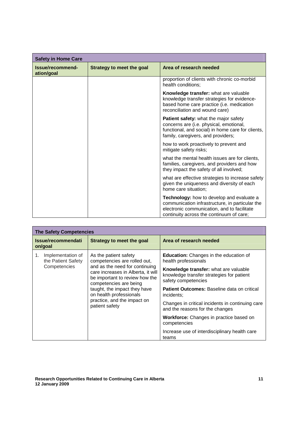| <b>Safety in Home Care</b>     |                           |                                                                                                                                                                                         |  |  |  |  |  |
|--------------------------------|---------------------------|-----------------------------------------------------------------------------------------------------------------------------------------------------------------------------------------|--|--|--|--|--|
| Issue/recommend-<br>ation/goal | Strategy to meet the goal | Area of research needed                                                                                                                                                                 |  |  |  |  |  |
|                                |                           | proportion of clients with chronic co-morbid<br>health conditions;                                                                                                                      |  |  |  |  |  |
|                                |                           | Knowledge transfer: what are valuable<br>knowledge transfer strategies for evidence-<br>based home care practice (i.e. medication<br>reconciliation and wound care)                     |  |  |  |  |  |
|                                |                           | Patient safety: what the major safety<br>concerns are (i.e. physical, emotional,<br>functional, and social) in home care for clients,<br>family, caregivers, and providers;             |  |  |  |  |  |
|                                |                           | how to work proactively to prevent and<br>mitigate safety risks;                                                                                                                        |  |  |  |  |  |
|                                |                           | what the mental health issues are for clients,<br>families, caregivers, and providers and how<br>they impact the safety of all involved;                                                |  |  |  |  |  |
|                                |                           | what are effective strategies to increase safety<br>given the uniqueness and diversity of each<br>home care situation;                                                                  |  |  |  |  |  |
|                                |                           | Technology: how to develop and evaluate a<br>communication infrastructure, in particular the<br>electronic communication, and to facilitate<br>continuity across the continuum of care; |  |  |  |  |  |

| <b>The Safety Competencies</b>                                |                                                                                                                                                                                                                                                                                                       |                                                                                                           |  |  |  |  |  |
|---------------------------------------------------------------|-------------------------------------------------------------------------------------------------------------------------------------------------------------------------------------------------------------------------------------------------------------------------------------------------------|-----------------------------------------------------------------------------------------------------------|--|--|--|--|--|
| Issue/recommendati<br>on/goal                                 | Strategy to meet the goal                                                                                                                                                                                                                                                                             | Area of research needed                                                                                   |  |  |  |  |  |
| Implementation of<br>1.<br>the Patient Safety<br>Competencies | As the patient safety<br>competencies are rolled out,<br>and as the need for continuing<br>care increases in Alberta, it will<br>be important to review how the<br>competencies are being<br>taught, the impact they have<br>on health professionals<br>practice, and the impact on<br>patient safety | <b>Education:</b> Changes in the education of<br>health professionals                                     |  |  |  |  |  |
|                                                               |                                                                                                                                                                                                                                                                                                       | Knowledge transfer: what are valuable<br>knowledge transfer strategies for patient<br>safety competencies |  |  |  |  |  |
|                                                               |                                                                                                                                                                                                                                                                                                       | <b>Patient Outcomes: Baseline data on critical</b><br>incidents;                                          |  |  |  |  |  |
|                                                               |                                                                                                                                                                                                                                                                                                       | Changes in critical incidents in continuing care<br>and the reasons for the changes                       |  |  |  |  |  |
|                                                               |                                                                                                                                                                                                                                                                                                       | Workforce: Changes in practice based on<br>competencies                                                   |  |  |  |  |  |
|                                                               |                                                                                                                                                                                                                                                                                                       | Increase use of interdisciplinary health care<br>teams                                                    |  |  |  |  |  |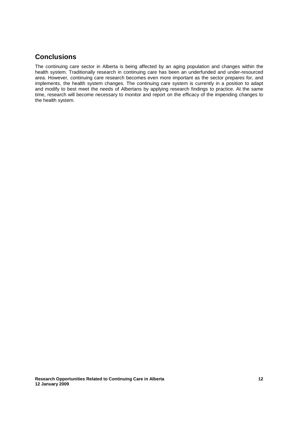### **Conclusions**

The continuing care sector in Alberta is being affected by an aging population and changes within the health system. Traditionally research in continuing care has been an underfunded and under-resourced area. However, continuing care research becomes even more important as the sector prepares for, and implements, the health system changes. The continuing care system is currently in a position to adapt and modify to best meet the needs of Albertans by applying research findings to practice. At the same time, research will become necessary to monitor and report on the efficacy of the impending changes to the health system.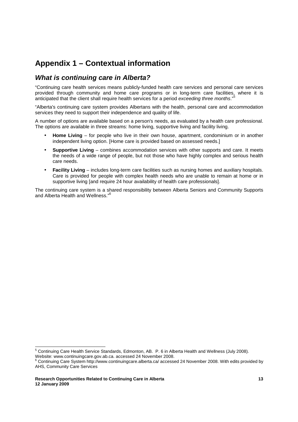## **Appendix 1 – Contextual information**

### **What is continuing care in Alberta?**

"Continuing care health services means publicly-funded health care services and personal care services provided through community and home care programs or in long-term care facilities, where it is anticipated that the client shall require health services for a period exceeding three months."

"Alberta's continuing care system provides Albertans with the health, personal care and accommodation services they need to support their independence and quality of life.

A number of options are available based on a person's needs, as evaluated by a health care professional. The options are available in three streams: home living, supportive living and facility living.

- **Home Living** for people who live in their own house, apartment, condominium or in another independent living option. [Home care is provided based on assessed needs.]
- **Supportive Living** combines accommodation services with other supports and care. It meets the needs of a wide range of people, but not those who have highly complex and serious health care needs.
- **Facility Living** includes long-term care facilities such as nursing homes and auxiliary hospitals. Care is provided for people with complex health needs who are unable to remain at home or in supportive living [and require 24 hour availability of health care professionals].

The continuing care system is a shared responsibility between Alberta Seniors and Community Supports and Alberta Health and Wellness."<sup>6</sup>

 5 Continuing Care Health Service Standards, Edmonton, AB. P. 6 in Alberta Health and Wellness (July 2008).

Website: www.continuingcare.gov.ab.ca. accessed 24 November 2008.

<sup>6</sup> Continuing Care System http://www.continuingcare.alberta.ca/ accessed 24 November 2008. With edits provided by AHS, Community Care Services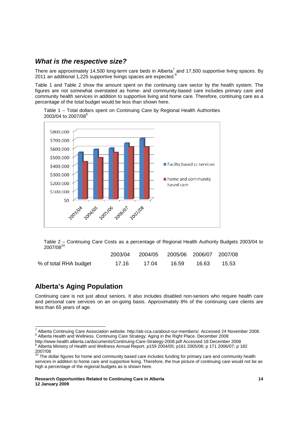### **What is the respective size?**

There are approximately 14,500 long-term care beds in Alberta<sup>7</sup> and 17,500 supportive living spaces. By 2011 an additional 1,225 supportive livings spaces are expected.<sup>8</sup>

Table 1 and Table 2 show the amount spent on the continuing care sector by the health system. The figures are not somewhat overstated as home- and community-based care includes primary care and community health services in addition to supportive living and home care. Therefore, continuing care as a percentage of the total budget would be less than shown here.



Table 1 – Total dollars spent on Continuing Care by Regional Health Authorities 2003/04 to 2007/08<sup>9</sup>

Table 2 – Continuing Care Costs as a percentage of Regional Health Authority Budgets 2003/04 to  $2007/08^{10}$ 

|                       |       | 2003/04 2004/05 2005/06 2006/07 2007/08 |       |       |       |
|-----------------------|-------|-----------------------------------------|-------|-------|-------|
| % of total RHA budget | 17.16 | 17.04                                   | 16.59 | 16.63 | 15.53 |

### **Alberta's Aging Population**

-

Continuing care is not just about seniors. It also includes disabled non-seniors who require health care and personal care services on an on-going basis. Approximately 8% of the continuing care clients are less than 65 years of age.

http://www.health.alberta.ca/documents/Continuing-Care-Strategy-2008.pdf Accessed 18 December 2008<br>9 Alberta Ministry of Health and Wallpees Annual Benert, p150,2004/05: p161,2005/06: p.171,2006/07: p.1

<sup>7</sup> Alberta Continuing Care Association website. http://ab-cca.ca/about-our-members/. Accessed 24 November 2008. <sup>8</sup> Alberta Health and Wellness. Continuing Care Strategy: Aging in the Right Place. December 2008

Alberta Ministry of Health and Wellness Annual Report. p159 2004/05; p161 2005/06; p 171 2006/07; p 182 2007/08<br><sup>10</sup> The dollar figures for home and community based care includes funding for primary care and community health

services in addition to home care and supportive living. Therefore, the true picture of continuing care would not be as high a percentage of the regional budgets as is shown here.